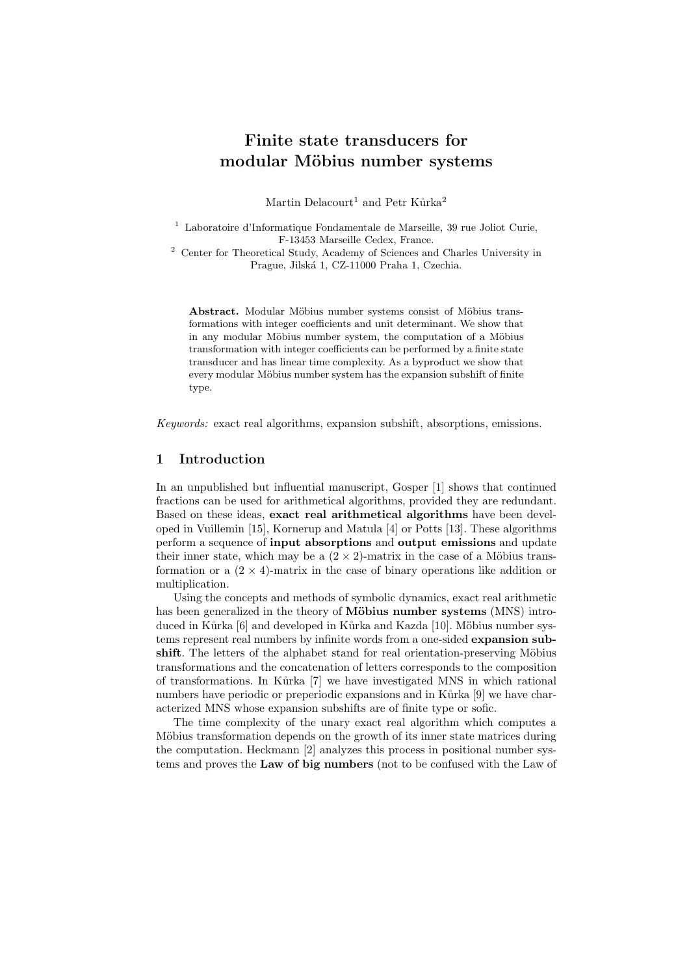# Finite state transducers for modular Möbius number systems

Martin Delacourt<sup>1</sup> and Petr Kůrka<sup>2</sup>

<sup>1</sup> Laboratoire d'Informatique Fondamentale de Marseille, 39 rue Joliot Curie, F-13453 Marseille Cedex, France.

<sup>2</sup> Center for Theoretical Study, Academy of Sciences and Charles University in Prague, Jilská 1, CZ-11000 Praha 1, Czechia.

Abstract. Modular Möbius number systems consist of Möbius transformations with integer coefficients and unit determinant. We show that in any modular Möbius number system, the computation of a Möbius transformation with integer coefficients can be performed by a finite state transducer and has linear time complexity. As a byproduct we show that every modular Möbius number system has the expansion subshift of finite type.

Keywords: exact real algorithms, expansion subshift, absorptions, emissions.

### 1 Introduction

In an unpublished but influential manuscript, Gosper [1] shows that continued fractions can be used for arithmetical algorithms, provided they are redundant. Based on these ideas, exact real arithmetical algorithms have been developed in Vuillemin [15], Kornerup and Matula [4] or Potts [13]. These algorithms perform a sequence of input absorptions and output emissions and update their inner state, which may be a  $(2 \times 2)$ -matrix in the case of a Möbius transformation or a  $(2 \times 4)$ -matrix in the case of binary operations like addition or multiplication.

Using the concepts and methods of symbolic dynamics, exact real arithmetic has been generalized in the theory of Möbius number systems (MNS) introduced in Kůrka [6] and developed in Kůrka and Kazda [10]. Möbius number systems represent real numbers by infinite words from a one-sided expansion subshift. The letters of the alphabet stand for real orientation-preserving Möbius transformations and the concatenation of letters corresponds to the composition of transformations. In K˚urka [7] we have investigated MNS in which rational numbers have periodic or preperiodic expansions and in Kurka [9] we have characterized MNS whose expansion subshifts are of finite type or sofic.

The time complexity of the unary exact real algorithm which computes a Möbius transformation depends on the growth of its inner state matrices during the computation. Heckmann [2] analyzes this process in positional number systems and proves the Law of big numbers (not to be confused with the Law of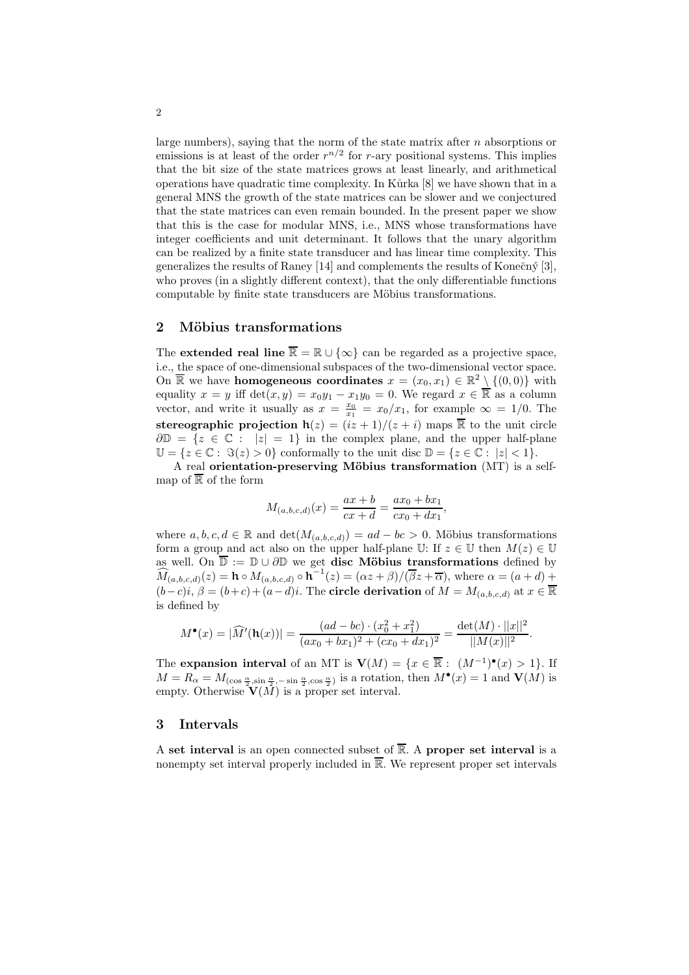large numbers), saying that the norm of the state matrix after n absorptions or emissions is at least of the order  $r^{n/2}$  for r-ary positional systems. This implies that the bit size of the state matrices grows at least linearly, and arithmetical operations have quadratic time complexity. In Kurka [8] we have shown that in a general MNS the growth of the state matrices can be slower and we conjectured that the state matrices can even remain bounded. In the present paper we show that this is the case for modular MNS, i.e., MNS whose transformations have integer coefficients and unit determinant. It follows that the unary algorithm can be realized by a finite state transducer and has linear time complexity. This generalizes the results of Raney  $[14]$  and complements the results of Konečný  $[3]$ , who proves (in a slightly different context), that the only differentiable functions computable by finite state transducers are Möbius transformations.

## 2 Möbius transformations

The **extended real line**  $\overline{\mathbb{R}} = \mathbb{R} \cup {\infty}$  can be regarded as a projective space, i.e., the space of one-dimensional subspaces of the two-dimensional vector space. On  $\overline{\mathbb{R}}$  we have **homogeneous coordinates**  $x = (x_0, x_1) \in \mathbb{R}^2 \setminus \{(0, 0)\}$  with equality  $x = y$  iff  $\det(x, y) = x_0y_1 - x_1y_0 = 0$ . We regard  $x \in \mathbb{R}$  as a column vector, and write it usually as  $x = \frac{x_0}{x_1} = x_0/x_1$ , for example  $\infty = 1/0$ . The stereographic projection  $h(z) = (iz + 1)/(z + i)$  maps  $\overline{R}$  to the unit circle  $\partial \mathbb{D} = \{z \in \mathbb{C} : |z| = 1\}$  in the complex plane, and the upper half-plane  $\mathbb{U} = \{z \in \mathbb{C} : \Im(z) > 0\}$  conformally to the unit disc  $\mathbb{D} = \{z \in \mathbb{C} : |z| < 1\}.$ A real orientation-preserving Möbius transformation  $(MT)$  is a self-

map of  $\overline{\mathbb{R}}$  of the form

$$
M_{(a,b,c,d)}(x) = \frac{ax+b}{cx+d} = \frac{ax_0+bx_1}{cx_0+dx_1},
$$

where  $a, b, c, d \in \mathbb{R}$  and  $\det(M_{(a,b,c,d)}) = ad - bc > 0$ . Möbius transformations form a group and act also on the upper half-plane U: If  $z \in \mathbb{U}$  then  $M(z) \in \mathbb{U}$ as well. On  $\overline{\mathbb{D}} := \mathbb{D} \cup \partial \mathbb{D}$  we get **disc Möbius transformations** defined by  $\widehat{M}_{(a,b,c,d)}(z) = \mathbf{h} \circ M_{(a,b,c,d)} \circ \mathbf{h}^{-1}(z) = (\alpha z + \beta)/(\overline{\beta}z + \overline{\alpha}), \text{ where } \alpha = (a+d) +$  $(b-c)i, \beta = (b+c)+(a-d)i$ . The circle derivation of  $M = M_{(a,b,c,d)}$  at  $x \in \overline{\mathbb{R}}$ is defined by

$$
M^{\bullet}(x) = |\widehat{M}'(\mathbf{h}(x))| = \frac{(ad - bc) \cdot (x_0^2 + x_1^2)}{(ax_0 + bx_1)^2 + (cx_0 + dx_1)^2} = \frac{\det(M) \cdot ||x||^2}{||M(x)||^2}.
$$

The expansion interval of an MT is  $\mathbf{V}(M) = \{x \in \mathbb{R} : (M^{-1})^{\bullet}(x) > 1\}$ . If  $M = R_{\alpha} = M_{(\cos \frac{\alpha}{2}, \sin \frac{\alpha}{2}, -\sin \frac{\alpha}{2}, \cos \frac{\alpha}{2})}$  is a rotation, then  $M^{\bullet}(x) = 1$  and  $V(M)$  is empty. Otherwise  $\mathbf{\tilde{V}}(\tilde{M})$  is a proper set interval.

#### 3 Intervals

A set interval is an open connected subset of  $\overline{\mathbb{R}}$ . A proper set interval is a nonempty set interval properly included in  $\overline{\mathbb{R}}$ . We represent proper set intervals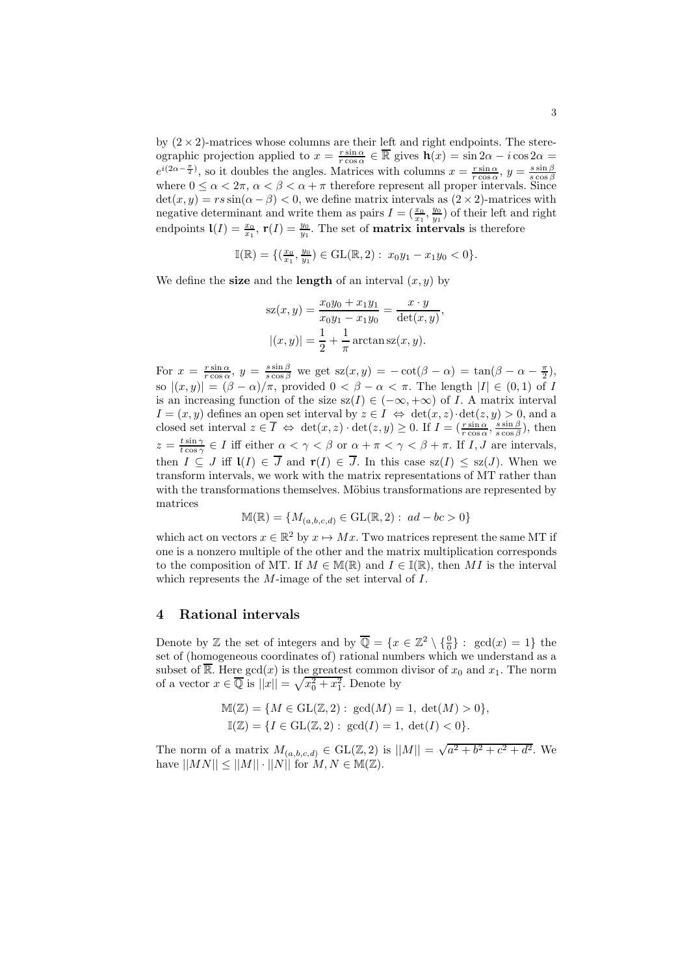by  $(2 \times 2)$ -matrices whose columns are their left and right endpoints. The stereographic projection applied to  $x = \frac{r \sin \alpha}{r \cos \alpha} \in \overline{\mathbb{R}}$  gives  $\mathbf{h}(x) = \sin 2\alpha - i \cos 2\alpha =$  $e^{i(2\alpha - \frac{\pi}{2})}$ , so it doubles the angles. Matrices with columns  $x = \frac{r \sin \alpha}{r \cos \alpha}$ ,  $y = \frac{s \sin \beta}{s \cos \beta}$ <br>where  $0 \le \alpha < 2\pi$ ,  $\alpha < \beta < \alpha + \pi$  therefore represent all proper intervals. Since  $\det(x, y) = rs \sin(\alpha - \beta) < 0$ , we define matrix intervals as  $(2 \times 2)$ -matrices with negative determinant and write them as pairs  $I = (\frac{x_0}{x_1}, \frac{y_0}{y_1})$  of their left and right endpoints  $\mathbf{l}(I) = \frac{x_0}{x_1}$ ,  $\mathbf{r}(I) = \frac{y_0}{y_1}$ . The set of **matrix intervals** is therefore

$$
\mathbb{I}(\mathbb{R}) = \{ (\frac{x_0}{x_1}, \frac{y_0}{y_1}) \in \text{GL}(\mathbb{R}, 2) : x_0 y_1 - x_1 y_0 < 0 \}.
$$

We define the **size** and the **length** of an interval  $(x, y)$  by

$$
sz(x, y) = \frac{x_0 y_0 + x_1 y_1}{x_0 y_1 - x_1 y_0} = \frac{x \cdot y}{\det(x, y)},
$$

$$
|(x, y)| = \frac{1}{2} + \frac{1}{\pi} \arctan sz(x, y).
$$

For  $x = \frac{r \sin \alpha}{r \cos \alpha}$ ,  $y = \frac{s \sin \beta}{s \cos \beta}$  we get  $s z(x, y) = -\cot(\beta - \alpha) = \tan(\beta - \alpha - \frac{\pi}{2})$ , so  $|(x, y)| = (\beta - \alpha)/\pi$ , provided  $0 < \beta - \alpha < \pi$ . The length  $|I| \in (0, 1)$  of I is an increasing function of the size  $sz(I) \in (-\infty, +\infty)$  of I. A matrix interval  $I = (x, y)$  defines an open set interval by  $z \in I \Leftrightarrow \det(x, z) \cdot \det(z, y) > 0$ , and a closed set interval  $z \in \overline{I} \Leftrightarrow \det(x, z) \cdot \det(z, y) \ge 0$ . If  $I = (\frac{r \sin \alpha}{r \cos \alpha}, \frac{s \sin \beta}{s \cos \beta})$ , then  $z = \frac{t \sin \gamma}{t \cos \gamma} \in I$  iff either  $\alpha < \gamma < \beta$  or  $\alpha + \pi < \gamma < \beta + \pi$ . If I, J are intervals, then  $I \subseteq J$  iff  $\mathsf{I}(I) \in \overline{J}$  and  $\mathsf{r}(I) \in \overline{J}$ . In this case  $\mathrm{sz}(I) \leq \mathrm{sz}(J)$ . When we transform intervals, we work with the matrix representations of MT rather than with the transformations themselves. Möbius transformations are represented by matrices

$$
\mathbb{M}(\mathbb{R}) = \{M_{(a,b,c,d)} \in \mathrm{GL}(\mathbb{R},2): ad-bc > 0\}
$$

which act on vectors  $x \in \mathbb{R}^2$  by  $x \mapsto Mx$ . Two matrices represent the same MT if one is a nonzero multiple of the other and the matrix multiplication corresponds to the composition of MT. If  $M \in M(\mathbb{R})$  and  $I \in \mathbb{I}(\mathbb{R})$ , then MI is the interval which represents the M-image of the set interval of I.

### 4 Rational intervals

Denote by Z the set of integers and by  $\overline{\mathbb{Q}} = \{x \in \mathbb{Z}^2 \setminus \{\frac{0}{0}\} : \text{gcd}(x) = 1\}$  the set of (homogeneous coordinates of) rational numbers which we understand as a subset of  $\overline{\mathbb{R}}$ . Here  $gcd(x)$  is the greatest common divisor of  $x_0$  and  $x_1$ . The norm of a vector  $x \in \overline{\mathbb{Q}}$  is  $||x|| = \sqrt{x_0^2 + x_1^2}$ . Denote by

$$
\mathbb{M}(\mathbb{Z}) = \{ M \in \text{GL}(\mathbb{Z}, 2) : \gcd(M) = 1, \, \det(M) > 0 \},
$$
\n
$$
\mathbb{I}(\mathbb{Z}) = \{ I \in \text{GL}(\mathbb{Z}, 2) : \gcd(I) = 1, \, \det(I) < 0 \}.
$$

The norm of a matrix  $M_{(a,b,c,d)} \in GL(\mathbb{Z}, 2)$  is  $||M|| = \sqrt{a^2 + b^2 + c^2 + d^2}$ . We have  $||MN|| \le ||M|| \cdot ||N||$  for  $M, N \in M(\mathbb{Z})$ .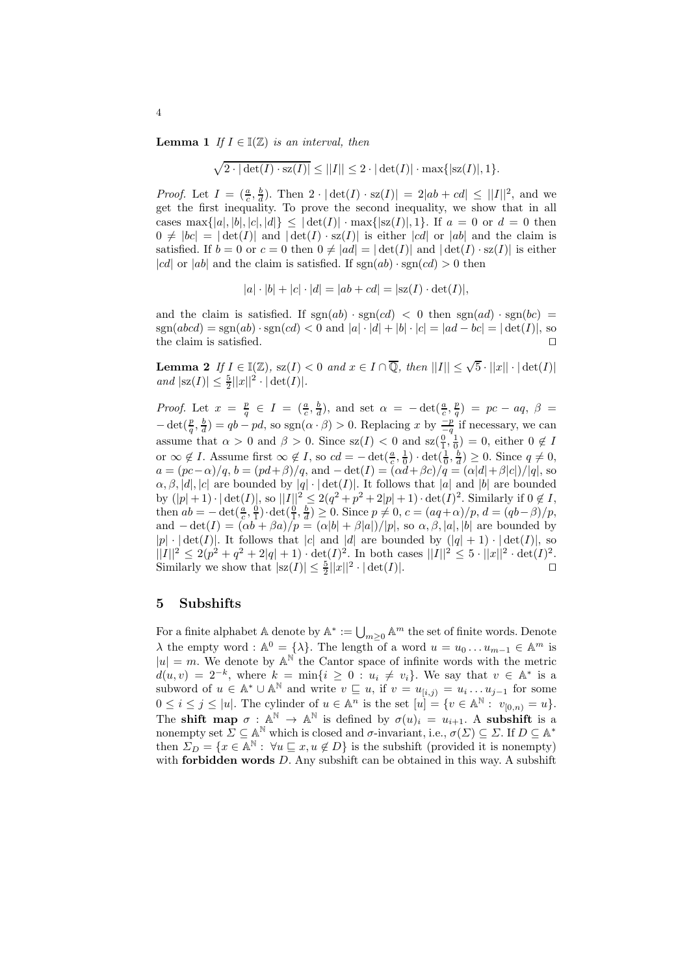**Lemma 1** If  $I \in \mathbb{I}(\mathbb{Z})$  is an interval, then

$$
\sqrt{2\cdot|\det(I)\cdot\mathsf{sz}(I)|}\leq ||I||\leq 2\cdot|\det(I)|\cdot\max\{|\mathsf{sz}(I)|,1\}.
$$

*Proof.* Let  $I = \left(\frac{a}{c}, \frac{b}{d}\right)$ . Then  $2 \cdot |\det(I) \cdot \text{sz}(I)| = 2|ab + cd| \leq ||I||^2$ , and we get the first inequality. To prove the second inequality, we show that in all cases max $\{|a|, |b|, |c|, |d|\} \leq |\det(I)| \cdot \max\{|sz(I)|, 1\}$ . If  $a = 0$  or  $d = 0$  then  $0 \neq |bc| = |\det(I)|$  and  $|\det(I) \cdot sz(I)|$  is either |cd| or |ab| and the claim is satisfied. If  $b = 0$  or  $c = 0$  then  $0 \neq |ad| = |\det(I)|$  and  $|\det(I) \cdot sz(I)|$  is either |cd| or |ab| and the claim is satisfied. If  $sgn(ab) \cdot sgn(cd) > 0$  then

$$
|a| \cdot |b| + |c| \cdot |d| = |ab + cd| = |sz(I) \cdot det(I)|,
$$

and the claim is satisfied. If  $sgn(ab) \cdot sgn(cd) < 0$  then  $sgn(ad) \cdot sgn(bc) =$  $sgn(abcd) = sgn(ab) \cdot sgn(cd) < 0$  and  $|a| \cdot |d| + |b| \cdot |c| = |ad - bc| = |\det(I)|$ , so the claim is satisfied the claim is satisfied. ⊓⊔

**Lemma 2** If  $I \in \mathbb{I}(\mathbb{Z})$ ,  $sz(I) < 0$  and  $x \in I \cap \overline{\mathbb{Q}}$ , then  $||I|| \leq \sqrt{5} \cdot ||x|| \cdot |\det(I)|$ and  $|sz(I)| \leq \frac{5}{2} ||x||^2 \cdot |\det(I)|$ .

*Proof.* Let  $x = \frac{p}{q} \in I = (\frac{a}{c}, \frac{b}{d})$ , and set  $\alpha = -\det(\frac{a}{c}, \frac{p}{q}) = pc - aq$ ,  $\beta =$  $-\det(\frac{p}{q}, \frac{b}{d}) = qb - pd$ , so sgn $(\alpha \cdot \beta) > 0$ . Replacing x by  $\frac{-p}{-q}$  if necessary, we can assume that  $\alpha > 0$  and  $\beta > 0$ . Since  $sz(I) < 0$  and  $sz(\frac{0}{1}, \frac{1}{0}) = 0$ , either  $0 \notin I$ or  $\infty \notin I$ . Assume first  $\infty \notin I$ , so  $cd = -\det(\frac{a}{c}, \frac{1}{0}) \cdot \det(\frac{1}{0}, \frac{b}{d}) \geq 0$ . Since  $q \neq 0$ ,  $a = (pc-\alpha)/q, b = (pd+\beta)/q, \text{ and } -\det(I) = (\alpha d + \beta c)/q = (\alpha |d| + \beta |c|)/|q|, \text{ so }$  $\alpha, \beta, |d|, |c|$  are bounded by  $|q| \cdot |\det(I)|$ . It follows that  $|a|$  and  $|b|$  are bounded by  $(|p|+1) \cdot |\det(I)|$ , so  $||I||^2 \leq 2(q^2+p^2+2|p|+1) \cdot \det(I)^2$ . Similarly if  $0 \notin I$ , then  $ab = -\det(\frac{a}{c}, \frac{0}{1}) \cdot \det(\frac{0}{1}, \frac{b}{d}) \ge 0$ . Since  $p \ne 0$ ,  $c = (aq + \alpha)/p$ ,  $d = (qb - \beta)/p$ , and  $-\det(I) = (\alpha b + \beta a)/p = (\alpha |b| + \beta |a|)/|p|$ , so  $\alpha, \beta, |a|, |b|$  are bounded by |p|  $\cdot$  | det(I)|. It follows that |c| and |d| are bounded by  $(|q| + 1) \cdot | \det(I)|$ , so  $||I||^2 \leq 2(p^2 + q^2 + 2|q| + 1) \cdot det(I)^2$ . In both cases  $||I||^2 \leq 5 \cdot ||x||^2 \cdot det(I)^2$ . Similarly we show that  $|sz(I)| \leq \frac{5}{2} ||x||^2 \cdot |\det(I)|$ .

#### 5 Subshifts

For a finite alphabet  $\mathbb{A}$  denote by  $\mathbb{A}^* := \bigcup_{m \geq 0} \mathbb{A}^m$  the set of finite words. Denote  $\lambda$  the empty word :  $\mathbb{A}^0 = \{\lambda\}$ . The length of a word  $u = u_0 \dots u_{m-1} \in \mathbb{A}^m$  is  $|u| = m$ . We denote by  $\mathbb{A}^{\mathbb{N}}$  the Cantor space of infinite words with the metric  $d(u, v) = 2^{-k}$ , where  $k = \min\{i \geq 0 : u_i \neq v_i\}$ . We say that  $v \in \mathbb{A}^*$  is a subword of  $u \in \mathbb{A}^* \cup \mathbb{A}^{\mathbb{N}}$  and write  $v \subseteq u$ , if  $v = u_{[i,j)} = u_i \dots u_{j-1}$  for some  $0 \leq i \leq j \leq |u|$ . The cylinder of  $u \in \mathbb{A}^n$  is the set  $[u] = \{v \in \mathbb{A}^{\mathbb{N}} : v_{[0,n)} = u\}.$ The **shift map**  $\sigma : \mathbb{A}^{\mathbb{N}} \to \mathbb{A}^{\mathbb{N}}$  is defined by  $\sigma(u)_i = u_{i+1}$ . A **subshift** is a nonempty set  $\Sigma \subseteq \mathbb{A}^{\mathbb{N}}$  which is closed and  $\sigma$ -invariant, i.e.,  $\sigma(\Sigma) \subseteq \Sigma$ . If  $D \subseteq \mathbb{A}^*$ then  $\Sigma_D = \{x \in \mathbb{A}^{\mathbb{N}} : \forall u \sqsubseteq x, u \notin D\}$  is the subshift (provided it is nonempty) with **forbidden words**  $D$ . Any subshift can be obtained in this way. A subshift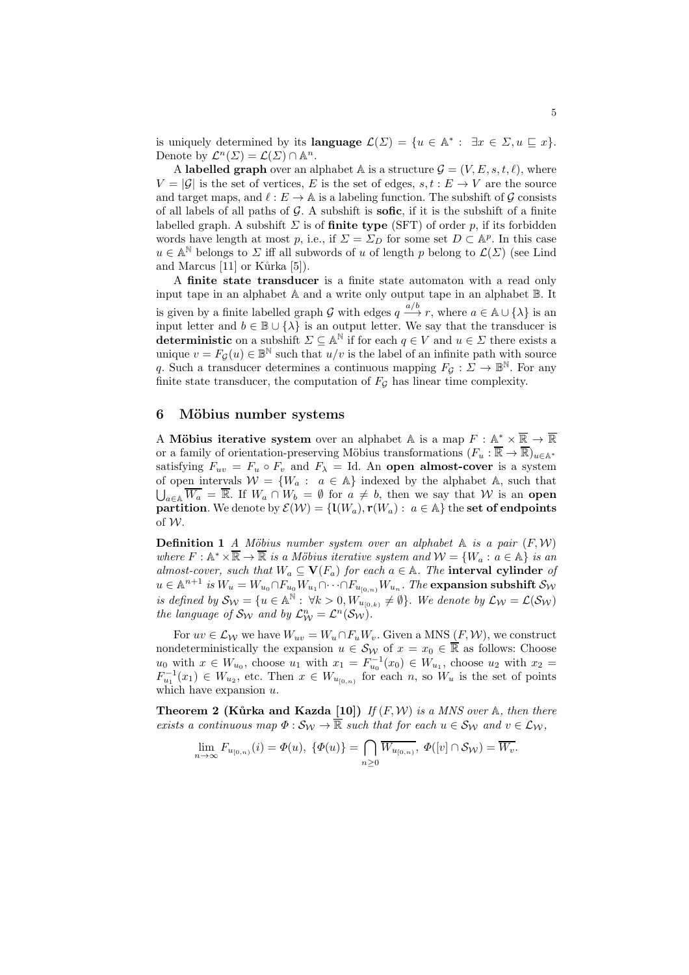is uniquely determined by its **language**  $\mathcal{L}(\Sigma) = \{u \in \mathbb{A}^* : \exists x \in \Sigma, u \sqsubseteq x\}.$ Denote by  $\mathcal{L}^n(\Sigma) = \mathcal{L}(\Sigma) \cap \mathbb{A}^n$ .

A labelled graph over an alphabet A is a structure  $\mathcal{G} = (V, E, s, t, \ell)$ , where  $V = |\mathcal{G}|$  is the set of vertices, E is the set of edges,  $s, t : E \to V$  are the source and target maps, and  $\ell : E \to \mathbb{A}$  is a labeling function. The subshift of G consists of all labels of all paths of  $G$ . A subshift is **sofic**, if it is the subshift of a finite labelled graph. A subshift  $\Sigma$  is of finite type (SFT) of order p, if its forbidden words have length at most p, i.e., if  $\Sigma = \Sigma_D$  for some set  $D \subset \mathbb{A}^p$ . In this case  $u\in\mathbb{A}^{\mathbb{N}}$  belongs to  $\varSigma$  iff all subwords of  $u$  of length  $p$  belong to  $\mathcal{L}(\varSigma)$  (see Lind and Marcus  $[11]$  or Kurka  $[5]$ ).

A finite state transducer is a finite state automaton with a read only input tape in an alphabet A and a write only output tape in an alphabet B. It is given by a finite labelled graph G with edges  $q \frac{a/b}{\cdots} r$ , where  $a \in \mathbb{A} \cup \{\lambda\}$  is an input letter and  $b \in \mathbb{B} \cup \{\lambda\}$  is an output letter. We say that the transducer is deterministic on a subshift  $\Sigma \subseteq \mathbb{A}^{\mathbb{N}}$  if for each  $q \in V$  and  $u \in \Sigma$  there exists a unique  $v = F_{\mathcal{G}}(u) \in \mathbb{B}^{\mathbb{N}}$  such that  $u/v$  is the label of an infinite path with source q. Such a transducer determines a continuous mapping  $F_{\mathcal{G}} : \Sigma \to \mathbb{B}^N$ . For any finite state transducer, the computation of  $F<sub>G</sub>$  has linear time complexity.

### 6 Möbius number systems

A Möbius iterative system over an alphabet A is a map  $F : \mathbb{A}^* \times \mathbb{R} \to \mathbb{R}$ or a family of orientation-preserving Möbius transformations  $(F_u : \overline{\mathbb{R}} \to \overline{\mathbb{R}})_{u \in \mathbb{A}^*}$ satisfying  $F_{uv} = F_u \circ F_v$  and  $F_\lambda = \text{Id}$ . An open almost-cover is a system of open intervals  $W = \{W_a : a \in A\}$  indexed by the alphabet A, such that  $\bigcup_{a \in A} \overline{W_a} = \overline{\mathbb{R}}$ . If  $W_a \cap W_b = \emptyset$  for  $a \neq b$ , then we say that W is an open **partition**. We denote by  $\mathcal{E}(\mathcal{W}) = \{ \mathbf{l}(W_a), \mathbf{r}(W_a) : a \in \mathbb{A} \}$  the set of endpoints of W.

**Definition 1** A Möbius number system over an alphabet  $A$  is a pair  $(F, W)$ where  $F : \mathbb{A}^* \times \overline{\mathbb{R}} \to \overline{\mathbb{R}}$  is a Möbius iterative system and  $\mathcal{W} = \{W_a : a \in \mathbb{A}\}\$ is an almost-cover, such that  $W_a \subseteq V(F_a)$  for each  $a \in A$ . The interval cylinder of  $u\in \mathbb{A}^{n+1}$  is  $W_u=W_{u_0}\cap F_{u_0}W_{u_1}\cap\cdots\cap F_{u_{[0,n)}}W_{u_n}.$  The  $\bf{expansion}$  subshift  $\mathcal{S}_{\mathcal{W}}$ is defined by  $\mathcal{S}_{\mathcal{W}} = \{u \in \mathbb{A}^{\mathbb{N}}: \forall k > 0, W_{u_{[0,k)}} \neq \emptyset\}$ . We denote by  $\mathcal{L}_{\mathcal{W}} = \mathcal{L}(\mathcal{S}_{\mathcal{W}})$ the language of  $\mathcal{S}_{\mathcal{W}}$  and by  $\mathcal{L}_{\mathcal{W}}^n = \mathcal{L}^n(\mathcal{S}_{\mathcal{W}})$ .

For  $uv \in \mathcal{L}_{\mathcal{W}}$  we have  $W_{uv} = W_u \cap F_u W_v$ . Given a MNS  $(F, \mathcal{W})$ , we construct nondeterministically the expansion  $u \in S_{\mathcal{W}}$  of  $x = x_0 \in \overline{\mathbb{R}}$  as follows: Choose  $u_0$  with  $x \in W_{u_0}$ , choose  $u_1$  with  $x_1 = F_{u_0}^{-1}(x_0) \in W_{u_1}$ , choose  $u_2$  with  $x_2 =$  $F_{u_1}^{-1}(x_1) \in W_{u_2}$ , etc. Then  $x \in W_{u_{[0,n)}}$  for each n, so  $W_u$  is the set of points which have expansion  $u$ .

**Theorem 2 (Kůrka and Kazda [10])** If  $(F, W)$  is a MNS over  $A$ , then there exists a continuous map  $\Phi : \mathcal{S}_{\mathcal{W}} \to \overline{\mathbb{R}}$  such that for each  $u \in \mathcal{S}_{\mathcal{W}}$  and  $v \in \mathcal{L}_{\mathcal{W}}$ ,

$$
\lim_{n\to\infty} F_{u_{[0,n)}}(i)=\Phi(u),\ \{\Phi(u)\}=\bigcap_{n\geq 0}\overline{W_{u_{[0,n)}}},\ \Phi([v]\cap\mathcal{S}_{\mathcal{W}})=\overline{W_{v}}.
$$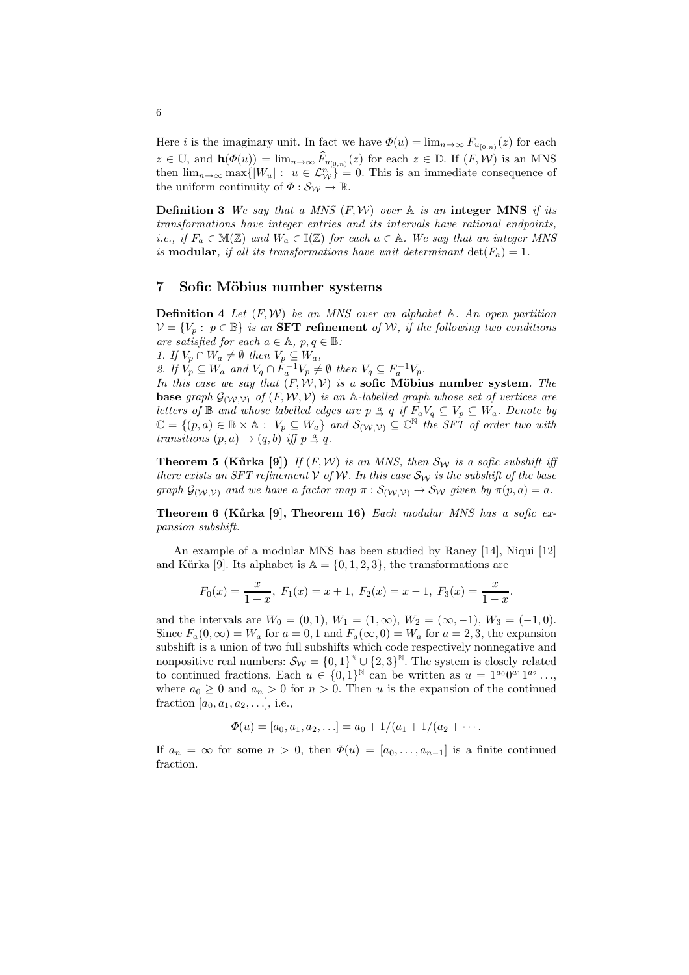Here *i* is the imaginary unit. In fact we have  $\Phi(u) = \lim_{n \to \infty} F_{u_{[0,n)}}(z)$  for each  $z \in \mathbb{U}$ , and  $\mathbf{h}(\Phi(u)) = \lim_{n \to \infty} \widehat{F}_{u_{[0,n)}}(z)$  for each  $z \in \mathbb{D}$ . If  $(F, \mathcal{W})$  is an MNS then  $\lim_{n\to\infty} \max\{|W_u| : u \in \mathcal{L}_{\mathcal{W}}^n\} = 0$ . This is an immediate consequence of the uniform continuity of  $\Phi : \mathcal{S}_{\mathcal{W}} \to \overline{\mathbb{R}}$ .

**Definition 3** We say that a MNS  $(F, W)$  over  $A$  is an integer MNS if its transformations have integer entries and its intervals have rational endpoints, i.e., if  $F_a \in M(\mathbb{Z})$  and  $W_a \in \mathbb{I}(\mathbb{Z})$  for each  $a \in \mathbb{A}$ . We say that an integer MNS is **modular**, if all its transformations have unit determinant  $det(F_a) = 1$ .

#### 7 Sofic Möbius number systems

**Definition 4** Let  $(F, W)$  be an MNS over an alphabet A. An open partition  $\mathcal{V} = \{V_p : p \in \mathbb{B}\}\$ is an **SFT refinement** of W, if the following two conditions are satisfied for each  $a \in \mathbb{A}$ ,  $p, q \in \mathbb{B}$ :

1. If  $V_p \cap W_a \neq \emptyset$  then  $V_p \subseteq W_a$ ,

2. If  $V_p \subseteq W_a$  and  $V_q \cap F_a^{-1}V_p \neq \emptyset$  then  $V_q \subseteq F_a^{-1}V_p$ .

In this case we say that  $(F, W, V)$  is a sofic Möbius number system. The **base** graph  $\mathcal{G}_{(\mathcal{W}, \mathcal{V})}$  of  $(F, \mathcal{W}, \mathcal{V})$  is an A-labelled graph whose set of vertices are letters of  $\mathbb B$  and whose labelled edges are  $p \stackrel{a}{\rightarrow} q$  if  $F_aV_q \subseteq V_p \subseteq W_a$ . Denote by  $\mathbb{C} = \{(p, a) \in \mathbb{B} \times \mathbb{A} : V_p \subseteq W_a\}$  and  $\mathcal{S}_{(\mathcal{W}, \mathcal{V})} \subseteq \mathbb{C}^{\mathbb{N}}$  the SFT of order two with transitions  $(p, a) \rightarrow (q, b)$  iff  $p \stackrel{a}{\rightarrow} q$ .

**Theorem 5 (Kůrka [9])** If  $(F, W)$  is an MNS, then  $\mathcal{S}_W$  is a sofic subshift iff there exists an SFT refinement V of W. In this case  $\mathcal{S}_{W}$  is the subshift of the base graph  $\mathcal{G}_{(\mathcal{W},\mathcal{V})}$  and we have a factor map  $\pi : \mathcal{S}_{(\mathcal{W},\mathcal{V})} \to \mathcal{S}_{\mathcal{W}}$  given by  $\pi(p,a) = a$ .

Theorem 6 (Kůrka  $[9]$ , Theorem 16) Each modular MNS has a sofic expansion subshift.

An example of a modular MNS has been studied by Raney [14], Niqui [12] and Kůrka [9]. Its alphabet is  $\mathbb{A} = \{0, 1, 2, 3\}$ , the transformations are

$$
F_0(x) = \frac{x}{1+x}
$$
,  $F_1(x) = x+1$ ,  $F_2(x) = x-1$ ,  $F_3(x) = \frac{x}{1-x}$ .

and the intervals are  $W_0 = (0, 1), W_1 = (1, \infty), W_2 = (\infty, -1), W_3 = (-1, 0).$ Since  $F_a(0,\infty) = W_a$  for  $a = 0,1$  and  $F_a(\infty,0) = W_a$  for  $a = 2,3$ , the expansion subshift is a union of two full subshifts which code respectively nonnegative and nonpositive real numbers:  $\mathcal{S}_W = \{0,1\}^{\mathbb{N}} \cup \{2,3\}^{\mathbb{N}}$ . The system is closely related to continued fractions. Each  $u \in \{0,1\}^{\mathbb{N}}$  can be written as  $u = 1^{a_0}0^{a_1}1^{a_2} \ldots$ , where  $a_0 \geq 0$  and  $a_n > 0$  for  $n > 0$ . Then u is the expansion of the continued fraction [ $a_0, a_1, a_2, \ldots$ ], i.e.,

 $\Phi(u) = [a_0, a_1, a_2, \ldots] = a_0 + 1/(a_1 + 1/(a_2 + \cdots$ 

If  $a_n = \infty$  for some  $n > 0$ , then  $\Phi(u) = [a_0, \ldots, a_{n-1}]$  is a finite continued fraction.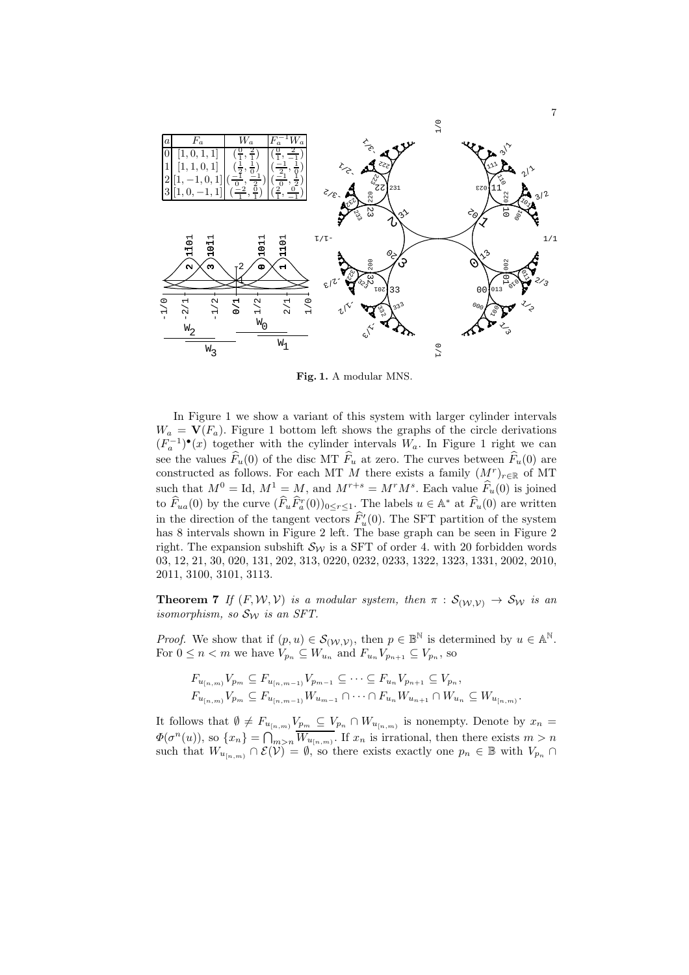

Fig. 1. A modular MNS.

In Figure 1 we show a variant of this system with larger cylinder intervals  $W_a = V(F_a)$ . Figure 1 bottom left shows the graphs of the circle derivations  $(F_a^{-1})^{\bullet}(x)$  together with the cylinder intervals  $W_a$ . In Figure 1 right we can see the values  $\widehat{F}_u(0)$  of the disc MT  $\widehat{F}_u$  at zero. The curves between  $\widehat{F}_u(0)$  are constructed as follows. For each MT M there exists a family  $(M<sup>r</sup>)<sub>r∈ℝ</sub>$  of MT such that  $M^0 = \text{Id}, M^1 = M$ , and  $M^{r+s} = M^r M^s$ . Each value  $F_u(0)$  is joined to  $F_{ua}(0)$  by the curve  $(F_u F_a^r(0))_{0 \le r \le 1}$ . The labels  $u \in \mathbb{A}^*$  at  $F_u(0)$  are written in the direction of the tangent vectors  $\hat{F}'_u(0)$ . The SFT partition of the system has 8 intervals shown in Figure 2 left. The base graph can be seen in Figure 2 right. The expansion subshift  $\mathcal{S}_{W}$  is a SFT of order 4. with 20 forbidden words 03, 12, 21, 30, 020, 131, 202, 313, 0220, 0232, 0233, 1322, 1323, 1331, 2002, 2010, 2011, 3100, 3101, 3113.

**Theorem 7** If  $(F, W, V)$  is a modular system, then  $\pi : S_{(W, V)} \to S_W$  is an isomorphism, so  $S_{\mathcal{W}}$  is an SFT.

*Proof.* We show that if  $(p, u) \in S_{(\mathcal{W}, \mathcal{V})}$ , then  $p \in \mathbb{B}^{\mathbb{N}}$  is determined by  $u \in \mathbb{A}^{\mathbb{N}}$ . For  $0 \leq n < m$  we have  $V_{p_n} \subseteq W_{u_n}$  and  $F_{u_n}V_{p_{n+1}} \subseteq V_{p_n}$ , so

$$
F_{u_{[n,m)}} V_{p_m} \subseteq F_{u_{[n,m-1]}} V_{p_{m-1}} \subseteq \cdots \subseteq F_{u_n} V_{p_{n+1}} \subseteq V_{p_n},
$$
  

$$
F_{u_{[n,m]}} V_{p_m} \subseteq F_{u_{[n,m-1]}} W_{u_{m-1}} \cap \cdots \cap F_{u_n} W_{u_{n+1}} \cap W_{u_n} \subseteq W_{u_{[n,m]}}.
$$

It follows that  $\emptyset \neq F_{u_{[n,m)}} V_{p_m} \subseteq V_{p_n} \cap W_{u_{[n,m)}}$  is nonempty. Denote by  $x_n =$  $\Phi(\sigma^n(u))$ , so  $\{x_n\} = \bigcap_{m>n} \overline{W_{u_{[n,m)}}}$ . If  $x_n$  is irrational, then there exists  $m > n$ such that  $W_{u_{[n,m)}} \cap \mathcal{E}(\mathcal{V}) = \emptyset$ , so there exists exactly one  $p_n \in \mathbb{B}$  with  $V_{p_n} \cap$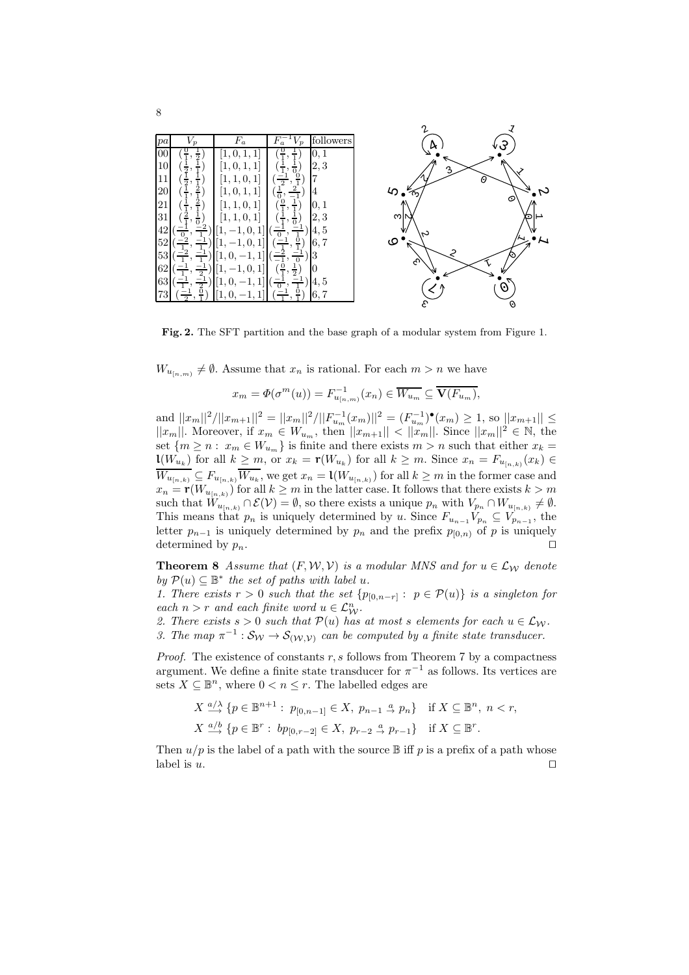| pa | $V_p$               | $F_a$                    | $F_a^-$<br>$V_p$                | followers |
|----|---------------------|--------------------------|---------------------------------|-----------|
| 00 | $\frac{1}{2}$       | 1,                       |                                 | 0, 1      |
| 10 | $\frac{1}{2}$       |                          |                                 | 2,3       |
|    | $\frac{1}{2}$       | 0,<br>1<br>1,<br>1,      | $\frac{0}{1}$<br>$\overline{2}$ | 7         |
| 20 | 2                   | $\mathbf{1}$<br>1, 0, 1, | $\frac{1}{0}$                   | 4         |
| 21 |                     | 1<br>$\theta$<br>1,      |                                 | 0, 1      |
| 31 |                     | 0,                       |                                 | 2,3       |
| 42 |                     | U                        |                                 | 4,5       |
| 52 |                     |                          | $\frac{0}{1}$                   | 6, 7      |
| 53 |                     |                          |                                 | 3         |
| 62 | $\overline{1}$<br>റ | $\mathbf{0}$             | $\frac{0}{1}$                   | 0         |
| 63 |                     |                          |                                 | 4,5       |
| 73 |                     |                          |                                 | 6.7       |
|    |                     |                          |                                 |           |

Fig. 2. The SFT partition and the base graph of a modular system from Figure 1.

 $W_{u_{[n,m)}} \neq \emptyset$ . Assume that  $x_n$  is rational. For each  $m > n$  we have

$$
x_m = \Phi(\sigma^m(u)) = F_{u_{[n,m)}}^{-1}(x_n) \in \overline{W_{u_m}} \subseteq \overline{\mathbf{V}(F_{u_m})},
$$

and  $||x_m||^2/||x_{m+1}||^2 = ||x_m||^2/||F_{u_m}^{-1}(x_m)||^2 = (F_{u_m}^{-1})^{\bullet}(x_m) \ge 1$ , so  $||x_{m+1}|| \le$  $||x_m||$ . Moreover, if  $x_m \in W_{u_m}$ , then  $||x_{m+1}|| < ||x_m||$ . Since  $||x_m||^2 \in \mathbb{N}$ , the set  $\{m \geq n : x_m \in W_{u_m}\}$  is finite and there exists  $m > n$  such that either  $x_k =$  $\mathbf{1}(W_{u_k})$  for all  $k \geq m$ , or  $x_k = \mathbf{r}(W_{u_k})$  for all  $k \geq m$ . Since  $x_n = F_{u_{[n,k)}}(x_k) \in$  $\overline{W_{u_{[n,k)}}} \subseteq F_{u_{[n,k)}} \overline{W_{u_k}}$ , we get  $x_n = \mathsf{L}(W_{u_{[n,k)}})$  for all  $k \geq m$  in the former case and  $x_n = \mathbf{r}(W_{u_{[n,k)}})$  for all  $k \geq m$  in the latter case. It follows that there exists  $k > m$ such that  $W_{u_{[n,k)}} \cap \mathcal{E}(\mathcal{V}) = \emptyset$ , so there exists a unique  $p_n$  with  $V_{p_n} \cap W_{u_{[n,k)}} \neq \emptyset$ . This means that  $p_n$  is uniquely determined by u. Since  $F_{u_{n-1}}V_{p_n} \subseteq V_{p_{n-1}}$ , the letter  $p_{n-1}$  is uniquely determined by  $p_n$  and the prefix  $p_{[0,n)}$  of p is uniquely determined by  $p_n$ . □

**Theorem 8** Assume that  $(F, W, V)$  is a modular MNS and for  $u \in \mathcal{L}_W$  denote by  $\mathcal{P}(u) \subseteq \mathbb{B}^*$  the set of paths with label  $u$ .

1. There exists  $r > 0$  such that the set  $\{p_{[0,n-r]} : p \in \mathcal{P}(u)\}\)$  is a singleton for each  $n > r$  and each finite word  $u \in \mathcal{L}_{\mathcal{W}}^n$ .

2. There exists  $s > 0$  such that  $\mathcal{P}(u)$  has at most s elements for each  $u \in \mathcal{L}_{\mathcal{W}}$ . 3. The map  $\pi^{-1} : S_{\mathcal{W}} \to S_{(\mathcal{W}, \mathcal{V})}$  can be computed by a finite state transducer.

*Proof.* The existence of constants  $r, s$  follows from Theorem 7 by a compactness argument. We define a finite state transducer for  $\pi^{-1}$  as follows. Its vertices are sets  $X \subseteq \mathbb{B}^n$ , where  $0 < n \leq r$ . The labelled edges are

$$
X \xrightarrow{a/\lambda} \{p \in \mathbb{B}^{n+1} : p_{[0,n-1]} \in X, p_{n-1} \xrightarrow{a} p_n\} \text{ if } X \subseteq \mathbb{B}^n, n < r,
$$
  

$$
X \xrightarrow{a/b} \{p \in \mathbb{B}^r : bp_{[0,r-2]} \in X, p_{r-2} \xrightarrow{a} p_{r-1}\} \text{ if } X \subseteq \mathbb{B}^r.
$$

Then  $u/p$  is the label of a path with the source  $\mathbb B$  iff p is a prefix of a path whose label is  $u$ .  $□$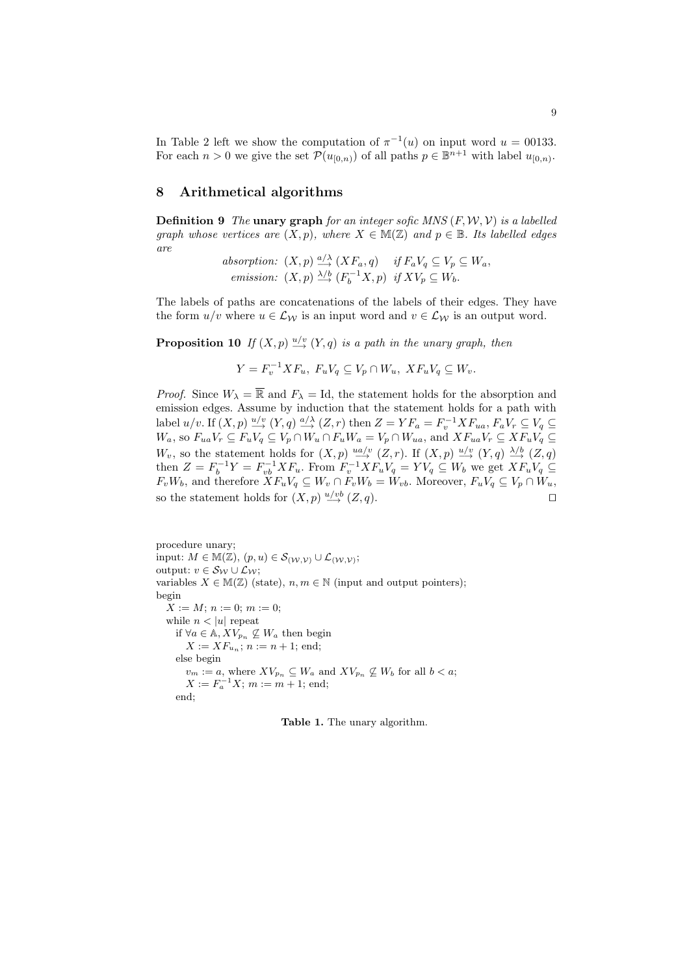In Table 2 left we show the computation of  $\pi^{-1}(u)$  on input word  $u = 00133$ . For each  $n > 0$  we give the set  $\mathcal{P}(u_{[0,n)})$  of all paths  $p \in \mathbb{B}^{n+1}$  with label  $u_{[0,n)}$ .

### 8 Arithmetical algorithms

**Definition 9** The unary graph for an integer sofic MNS  $(F, W, V)$  is a labelled graph whose vertices are  $(X, p)$ , where  $X \in M(\mathbb{Z})$  and  $p \in \mathbb{B}$ . Its labelled edges are

> absorption:  $(X, p) \stackrel{a/\lambda}{\longrightarrow} (X F_a, q)$  if  $F_a V_q \subseteq V_p \subseteq W_a$ , emission:  $(X, p) \xrightarrow{\lambda/b} (F_b^{-1}X, p)$  if  $XV_p \subseteq W_b$ .

The labels of paths are concatenations of the labels of their edges. They have the form  $u/v$  where  $u \in \mathcal{L}_{\mathcal{W}}$  is an input word and  $v \in \mathcal{L}_{\mathcal{W}}$  is an output word.

**Proposition 10** If  $(X, p) \stackrel{u/v}{\rightarrow} (Y, q)$  is a path in the unary graph, then

 $Y = F_v^{-1} X F_u$ ,  $F_u V_q \subseteq V_p \cap W_u$ ,  $X F_u V_q \subseteq W_v$ .

*Proof.* Since  $W_{\lambda} = \overline{\mathbb{R}}$  and  $F_{\lambda} = \text{Id}$ , the statement holds for the absorption and emission edges. Assume by induction that the statement holds for a path with label  $u/v$ . If  $(X, p) \stackrel{u/v}{\longrightarrow} (Y, q) \stackrel{a/\lambda}{\longrightarrow} (Z, r)$  then  $Z = YF_a = F_v^{-1} XF_{ua}, F_aV_r \subseteq V_q \subseteq$  $W_a$ , so  $F_{ua}V_r \subseteq F_uV_q \subseteq V_p \cap W_u \cap F_uW_a = V_p \cap W_{ua}$ , and  $XF_{ua}V_r \subseteq XF_uV_q \subseteq$  $W_v$ , so the statement holds for  $(X, p) \stackrel{ua/v}{\longrightarrow} (Z, r)$ . If  $(X, p) \stackrel{u/v}{\longrightarrow} (Y, q) \stackrel{\lambda/b}{\longrightarrow} (Z, q)$ then  $Z = F_b^{-1}Y = F_{vb}^{-1}XF_u$ . From  $F_v^{-1}XF_uV_q = YV_q \subseteq W_b$  we get  $XF_uV_q \subseteq$  $F_vW_b$ , and therefore  $XF_uV_q \subseteq W_v \cap F_vW_b = W_{vb}$ . Moreover,  $F_uV_q \subseteq V_p \cap W_u$ , so the statement holds for  $(X, p) \stackrel{u/vb}{\longrightarrow} (Z, q)$ .

procedure unary; input:  $M \in \mathbb{M}(\mathbb{Z}), (p, u) \in \mathcal{S}_{(\mathcal{W}, \mathcal{V})} \cup \mathcal{L}_{(\mathcal{W}, \mathcal{V})};$ output:  $v \in S_{\mathcal{W}} \cup \mathcal{L}_{\mathcal{W}};$ variables  $X \in M(\mathbb{Z})$  (state),  $n, m \in \mathbb{N}$  (input and output pointers); begin  $X := M; n := 0; m := 0;$ while  $n < |u|$  repeat if  $∀a ∈ A, XV_{p_n} ⊆ W_a$  then begin  $X := XF_{u_n}; n := n + 1;$  end; else begin  $v_m := a$ , where  $XV_{p_n} \subseteq W_a$  and  $XV_{p_n} \not\subseteq W_b$  for all  $b < a$ ;  $X := F_a^{-1}X$ ;  $m := m + 1$ ; end; end;

Table 1. The unary algorithm.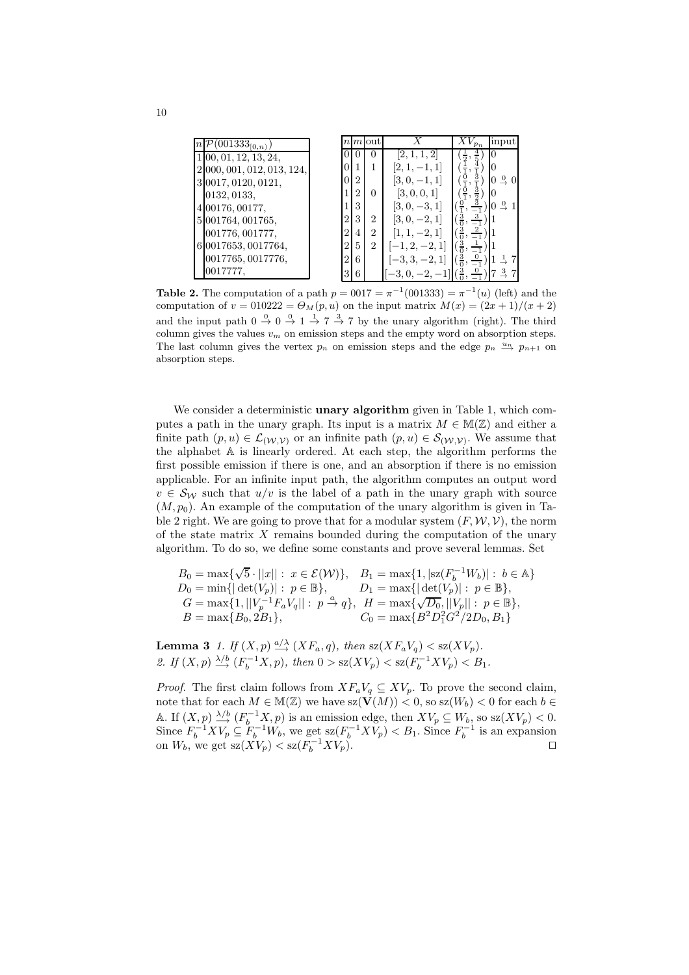| $\overline{\mathcal{P}}(001333_{[0,n)})$ |                |                | $n m $ out     |                                                            |                                                            | input                    |
|------------------------------------------|----------------|----------------|----------------|------------------------------------------------------------|------------------------------------------------------------|--------------------------|
| 1 00, 01, 12, 13, 24,                    |                |                |                | [2, 1, 1, 2]                                               | $\frac{4}{5}$<br>$(\frac{1}{2},$                           |                          |
| 2 000, 001, 012, 013, 124,               | $\Omega$       |                |                | $[2, 1, -1, 1]$                                            | $(\frac{1}{1},$                                            |                          |
| 3 0017, 0120, 0121,                      | $\theta$       | $\overline{2}$ |                | $[3, 0, -1, 1]$                                            | $(\frac{0}{1}, \frac{0}{1})$                               | $0 \stackrel{0}{\sim} 0$ |
| 0132, 0133,                              |                | $\overline{2}$ | 0              | [3, 0, 0, 1]                                               | $\frac{3}{2}$                                              | ю                        |
| 4 00176, 00177,                          |                | 3              |                | $[3, 0, -3, 1]$                                            |                                                            | $0 \overset{0}{\sim}$    |
| 5 001764, 001765,                        | $\overline{2}$ | 3              | $\overline{2}$ | $[3, 0, -2, 1]$                                            | $(\frac{3}{0}, \frac{3}{-1})$ 1                            |                          |
| 001776, 001777,                          | $\overline{2}$ | $\overline{4}$ | $\overline{2}$ | $[1, 1, -2, 1]$                                            | $(\frac{3}{0}, \frac{2}{-1})$ 1                            |                          |
| 6 0017653, 0017764,                      | $\overline{2}$ | 5              | $\overline{2}$ | $[-1, 2, -2, 1]$                                           | $(\frac{3}{0}, \frac{1}{-1})$ 1                            |                          |
| 0017765, 0017776,                        | $\overline{2}$ | 6              |                | $[-3, 3, -2, 1]$                                           | $\left(\frac{3}{0}, \frac{0}{-1}\right)$ 1 $\frac{1}{2}$ 7 |                          |
| 0017777.                                 | 3              | 6              |                | $[-3, 0, -2, -1]$ $\left(\frac{3}{0}, \frac{0}{-1}\right)$ |                                                            |                          |

**Table 2.** The computation of a path  $p = 0017 = \pi^{-1}(001333) = \pi^{-1}(u)$  (left) and the computation of  $v = 0.00222 = \Theta_M(p, u)$  on the input matrix  $M(x) = (2x + 1)/(x + 2)$ and the input path  $0 \stackrel{0}{\rightarrow} 0 \stackrel{0}{\rightarrow} 1 \stackrel{1}{\rightarrow} 7 \stackrel{3}{\rightarrow} 7$  by the unary algorithm (right). The third column gives the values  $v_m$  on emission steps and the empty word on absorption steps. The last column gives the vertex  $p_n$  on emission steps and the edge  $p_n \stackrel{u_n}{\longrightarrow} p_{n+1}$  on absorption steps.

We consider a deterministic **unary algorithm** given in Table 1, which computes a path in the unary graph. Its input is a matrix  $M \in M(\mathbb{Z})$  and either a finite path  $(p, u) \in \mathcal{L}_{(\mathcal{W}, \mathcal{V})}$  or an infinite path  $(p, u) \in \mathcal{S}_{(\mathcal{W}, \mathcal{V})}$ . We assume that the alphabet A is linearly ordered. At each step, the algorithm performs the first possible emission if there is one, and an absorption if there is no emission applicable. For an infinite input path, the algorithm computes an output word  $v \in S_W$  such that  $u/v$  is the label of a path in the unary graph with source  $(M, p_0)$ . An example of the computation of the unary algorithm is given in Table 2 right. We are going to prove that for a modular system  $(F, W, V)$ , the norm of the state matrix  $X$  remains bounded during the computation of the unary algorithm. To do so, we define some constants and prove several lemmas. Set

$$
B_0 = \max\{\sqrt{5} \cdot ||x|| : x \in \mathcal{E}(\mathcal{W})\}, \quad B_1 = \max\{1, |sz(F_b^{-1}W_b)| : b \in \mathbb{A}\}
$$
  
\n
$$
D_0 = \min\{|\det(V_p)| : p \in \mathbb{B}\}, \qquad D_1 = \max\{|\det(V_p)| : p \in \mathbb{B}\},
$$
  
\n
$$
G = \max\{1, ||V_p^{-1}F_aV_q|| : p \xrightarrow{a} q\}, \quad H = \max\{\sqrt{D_0}, ||V_p|| : p \in \mathbb{B}\},
$$
  
\n
$$
B = \max\{B_0, 2B_1\}, \qquad C_0 = \max\{B^2D_1^2G^2/2D_0, B_1\}
$$

**Lemma 3** 1. If  $(X, p) \stackrel{a/\lambda}{\longrightarrow} (XF_a, q)$ , then  $sz(XF_aV_q) < sz(XV_p)$ . 2. If  $(X, p) \xrightarrow{\lambda/b} (F_b^{-1}X, p)$ , then  $0 > \text{sz}(XV_p) < \text{sz}(F_b^{-1}XV_p) < B_1$ .

*Proof.* The first claim follows from  $XF_aV_q \subseteq XV_p$ . To prove the second claim, note that for each  $M \in \mathbb{M}(\mathbb{Z})$  we have  $sz(\mathbf{V}(M)) < 0$ , so  $sz(W_b) < 0$  for each  $b \in \mathbb{Z}$ A. If  $(X, p) \xrightarrow{\lambda/b} (F_b^{-1}X, p)$  is an emission edge, then  $X V_p \subseteq W_b$ , so  $sz(X V_p) < 0$ . Since  $F_b^{-1}XV_p \subseteq F_b^{-1}W_b$ , we get  $sz(F_b^{-1}XV_p) < B_1$ . Since  $F_b^{-1}$  is an expansion on  $W_b$ , we get sz $(XV_p) <$ sz $(F_b^{-1}XV_p)$ . □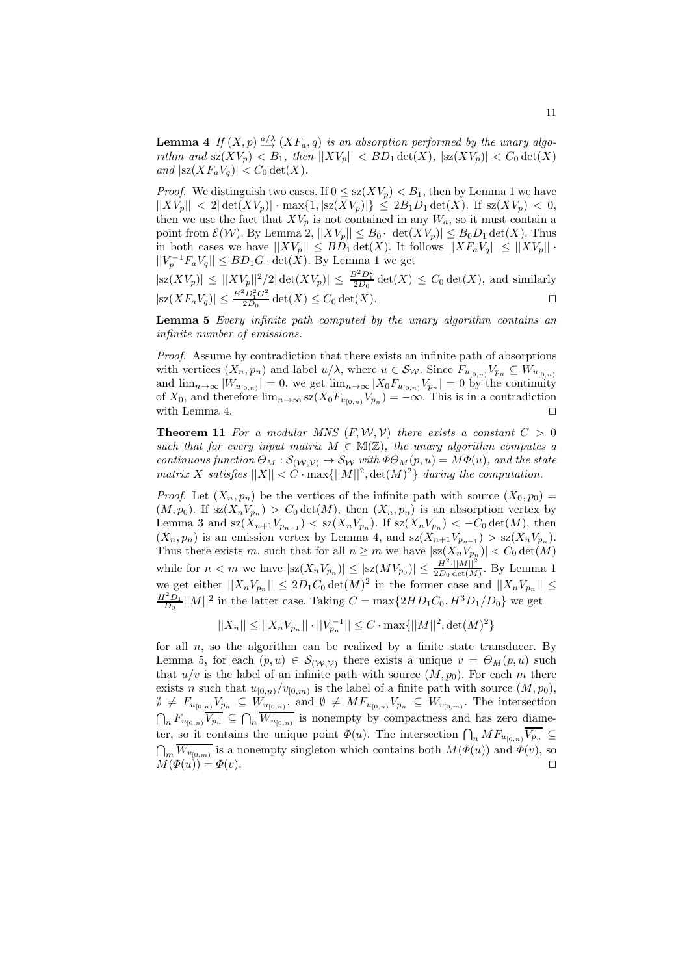**Lemma 4** If  $(X, p) \stackrel{a/\lambda}{\longrightarrow} (XF_a, q)$  is an absorption performed by the unary algorithm and  $\text{sz}(XV_p) < B_1$ , then  $||XY_p|| < BD_1 \det(X)$ ,  $|\text{sz}(XY_p)| < C_0 \det(X)$ and  $|\mathrm{sz}(XF_aV_q)| < C_0 \det(X)$ .

*Proof.* We distinguish two cases. If  $0 \leq sz(XV_p) < B_1$ , then by Lemma 1 we have  $||XV_p|| < 2|\det(XV_p)| \cdot \max\{1, |sz(XV_p)|\} \le 2B_1D_1 \det(X)$ . If  $sz(XV_p) < 0$ , then we use the fact that  $XV_p$  is not contained in any  $W_a$ , so it must contain a point from  $\mathcal{E}(\mathcal{W})$ . By Lemma 2,  $||XV_p|| \leq B_0 \cdot |\det(XV_p)| \leq B_0 D_1 \det(X)$ . Thus in both cases we have  $||XY_p|| \leq BD_1 \det(X)$ . It follows  $||XF_aV_q|| \leq ||XV_p||$ .  $||V_p^{-1}F_aV_q|| \leq BD_1G \cdot \det(X)$ . By Lemma 1 we get

 $|\text{sz}(XV_p)| \leq ||XV_p||^2/2 |\det(XV_p)| \leq \frac{B^2 D_1^2}{2D_0} \det(X) \leq C_0 \det(X)$ , and similarly  $|\text{sz}(XF_a V_q)| \leq \frac{B^2 D_1^2 G^2}{2D_0} \det(X) \leq C_0 \det(X).$ 

Lemma 5 Every infinite path computed by the unary algorithm contains an infinite number of emissions.

Proof. Assume by contradiction that there exists an infinite path of absorptions with vertices  $(X_n, p_n)$  and label  $u/\lambda$ , where  $u \in \mathcal{S}_{\mathcal{W}}$ . Since  $F_{u_{[0,n)}}V_{p_n} \subseteq W_{u_{[0,n)}}$ and  $\lim_{n\to\infty} |W_{u_{[0,n)}}|=0$ , we get  $\lim_{n\to\infty} |X_0 F_{u_{[0,n)}} V_{p_n}|=0$  by the continuity of  $X_0$ , and therefore  $\lim_{n\to\infty} s z(X_0 F_{u_{[0,n)}} V_{p_n}) = -\infty$ . This is in a contradiction with Lemma 4.  $□$ 

**Theorem 11** For a modular MNS  $(F, W, V)$  there exists a constant  $C > 0$ such that for every input matrix  $M \in M(\mathbb{Z})$ , the unary algorithm computes a continuous function  $\Theta_M : \mathcal{S}_{(\mathcal{W}, \mathcal{V})} \to \mathcal{S}_{\mathcal{W}}$  with  $\Phi \Theta_M(p, u) = M \Phi(u)$ , and the state matrix X satisfies  $||X|| < C \cdot \max{||M||^2}$ ,  $\det(M)^2$  during the computation.

*Proof.* Let  $(X_n, p_n)$  be the vertices of the infinite path with source  $(X_0, p_0)$  =  $(M, p_0)$ . If  $sz(X_nV_{p_n}) > C_0 det(M)$ , then  $(X_n, p_n)$  is an absorption vertex by Lemma 3 and  $\operatorname{sz}(X_{n+1}V_{p_{n+1}}) < \operatorname{sz}(X_nV_{p_n})$ . If  $\operatorname{sz}(X_nV_{p_n}) < -C_0 \det(M)$ , then  $(X_n, p_n)$  is an emission vertex by Lemma 4, and  $sz(X_{n+1}V_{p_{n+1}}) > sz(X_nV_{p_n}).$ Thus there exists m, such that for all  $n \geq m$  we have  $|sz(X_nV_{p_n})| < C_0 \det(M)$ while for  $n < m$  we have  $|sz(X_nV_{p_n})| \leq |sz(MV_{p_0})| \leq \frac{H^2 \cdot ||M||^2}{2D_0 \det(M)}$  $\frac{H^{-1}||M||}{2D_0 \det(M)}$ . By Lemma 1 we get either  $||X_nV_{p_n}|| \leq 2D_1C_0 \det(M)^2$  in the former case and  $||X_nV_{p_n}|| \leq$  $\frac{H^2 D_1}{D_0} ||M||^2$  in the latter case. Taking  $C = \max\{2HD_1C_0, H^3D_1/D_0\}$  we get

 $||X_n|| \le ||X_n V_{p_n}|| \cdot ||V_{p_n}^{-1}|| \le C \cdot \max\{||M||^2, \det(M)^2\}$ 

for all  $n$ , so the algorithm can be realized by a finite state transducer. By Lemma 5, for each  $(p, u) \in S_{(\mathcal{W}, \mathcal{V})}$  there exists a unique  $v = \Theta_M(p, u)$  such that  $u/v$  is the label of an infinite path with source  $(M, p_0)$ . For each m there exists *n* such that  $u_{[0,n)}/v_{[0,m)}$  is the label of a finite path with source  $(M, p_0)$ ,  $\emptyset \neq F_{u_{[0,n)}}V_{p_n} \subseteq W_{u_{[0,n)}},$  and  $\emptyset \neq MF_{u_{[0,n)}}V_{p_n} \subseteq W_{v_{[0,m)}}.$  The intersection  $\bigcap_n F_{u_{[0,n)}}\overline{V_{p_n}} \subseteq \bigcap_n \overline{W_{u_{[0,n)}}}$  is nonempty by compactness and has zero diameter, so it contains the unique point  $\Phi(u)$ . The intersection  $\bigcap_n MF_{u_{[0,n)}}\overline{V_{p_n}}\subseteq$  $\bigcap_m \overline{W_{v_{[0,m)}}}$  is a nonempty singleton which contains both  $M(\Phi(u))$  and  $\Phi(v)$ , so  $M(\Phi(u)) = \Phi(v).$